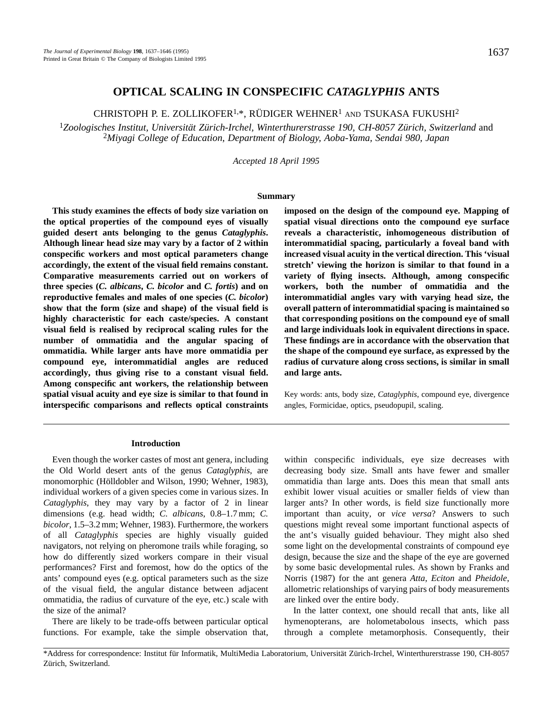# **OPTICAL SCALING IN CONSPECIFIC** *CATAGLYPHIS* **ANTS**

CHRISTOPH P. E. ZOLLIKOFER<sup>1,\*</sup>, RÜDIGER WEHNER<sup>1</sup> AND TSUKASA FUKUSHI<sup>2</sup>

<sup>1</sup>*Zoologisches Institut, Universität Zürich-Irchel, Winterthurerstrasse 190, CH-8057 Zürich, Switzerland* and <sup>2</sup>*Miyagi College of Education, Department of Biology, Aoba-Yama, Sendai 980, Japan*

*Accepted 18 April 1995*

### **Summary**

**This study examines the effects of body size variation on the optical properties of the compound eyes of visually guided desert ants belonging to the genus** *Cataglyphis***. Although linear head size may vary by a factor of 2 within conspecific workers and most optical parameters change accordingly, the extent of the visual field remains constant. Comparative measurements carried out on workers of three species (***C. albicans***,** *C. bicolor* **and** *C. fortis***) and on reproductive females and males of one species (***C. bicolor***) show that the form (size and shape) of the visual field is highly characteristic for each caste/species. A constant visual field is realised by reciprocal scaling rules for the number of ommatidia and the angular spacing of ommatidia. While larger ants have more ommatidia per compound eye, interommatidial angles are reduced accordingly, thus giving rise to a constant visual field. Among conspecific ant workers, the relationship between spatial visual acuity and eye size is similar to that found in interspecific comparisons and reflects optical constraints**

**imposed on the design of the compound eye. Mapping of spatial visual directions onto the compound eye surface reveals a characteristic, inhomogeneous distribution of interommatidial spacing, particularly a foveal band with increased visual acuity in the vertical direction. This 'visual stretch' viewing the horizon is similar to that found in a variety of flying insects. Although, among conspecific workers, both the number of ommatidia and the interommatidial angles vary with varying head size, the overall pattern of interommatidial spacing is maintained so that corresponding positions on the compound eye of small and large individuals look in equivalent directions in space. These findings are in accordance with the observation that the shape of the compound eye surface, as expressed by the radius of curvature along cross sections, is similar in small and large ants.**

Key words: ants, body size, *Cataglyphis*, compound eye, divergence angles, Formicidae, optics, pseudopupil, scaling.

## **Introduction**

Even though the worker castes of most ant genera, including the Old World desert ants of the genus *Cataglyphis*, are monomorphic (Hölldobler and Wilson, 1990; Wehner, 1983), individual workers of a given species come in various sizes. In *Cataglyphis*, they may vary by a factor of 2 in linear dimensions (e.g. head width; *C. albicans*, 0.8–1.7 mm; *C. bicolor*, 1.5–3.2 mm; Wehner, 1983). Furthermore, the workers of all *Cataglyphis* species are highly visually guided navigators, not relying on pheromone trails while foraging, so how do differently sized workers compare in their visual performances? First and foremost, how do the optics of the ants' compound eyes (e.g. optical parameters such as the size of the visual field, the angular distance between adjacent ommatidia, the radius of curvature of the eye, etc.) scale with the size of the animal?

There are likely to be trade-offs between particular optical functions. For example, take the simple observation that,

within conspecific individuals, eye size decreases with decreasing body size. Small ants have fewer and smaller ommatidia than large ants. Does this mean that small ants exhibit lower visual acuities or smaller fields of view than larger ants? In other words, is field size functionally more important than acuity, or *vice versa*? Answers to such questions might reveal some important functional aspects of the ant's visually guided behaviour. They might also shed some light on the developmental constraints of compound eye design, because the size and the shape of the eye are governed by some basic developmental rules. As shown by Franks and Norris (1987) for the ant genera *Atta*, *Eciton* and *Pheidole*, allometric relationships of varying pairs of body measurements are linked over the entire body.

In the latter context, one should recall that ants, like all hymenopterans, are holometabolous insects, which pass through a complete metamorphosis. Consequently, their

<sup>\*</sup>Address for correspondence: Institut für Informatik, MultiMedia Laboratorium, Universität Zürich-Irchel, Winterthurerstrasse 190, CH-8057 Zürich, Switzerland.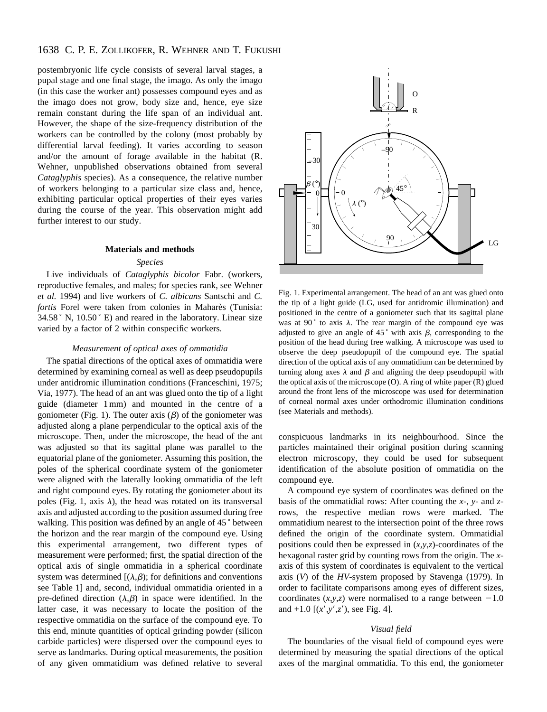# 1638 C. P. E. ZOLLIKOFER, R. WEHNER AND T. FUKUSHI

postembryonic life cycle consists of several larval stages, a pupal stage and one final stage, the imago. As only the imago (in this case the worker ant) possesses compound eyes and as the imago does not grow, body size and, hence, eye size remain constant during the life span of an individual ant. However, the shape of the size-frequency distribution of the workers can be controlled by the colony (most probably by differential larval feeding). It varies according to season and/or the amount of forage available in the habitat (R. Wehner, unpublished observations obtained from several *Cataglyphis* species). As a consequence, the relative number of workers belonging to a particular size class and, hence, exhibiting particular optical properties of their eyes varies during the course of the year. This observation might add further interest to our study.

### **Materials and methods**

### *Species*

Live individuals of *Cataglyphis bicolor* Fabr. (workers, reproductive females, and males; for species rank, see Wehner *et al.* 1994) and live workers of *C. albicans* Santschi and *C. fortis* Forel were taken from colonies in Maharès (Tunisia:  $34.58$  ° N,  $10.50$  ° E) and reared in the laboratory. Linear size varied by a factor of 2 within conspecific workers.

#### *Measurement of optical axes of ommatidia*

The spatial directions of the optical axes of ommatidia were determined by examining corneal as well as deep pseudopupils under antidromic illumination conditions (Franceschini, 1975; Via, 1977). The head of an ant was glued onto the tip of a light guide (diameter 1 mm) and mounted in the centre of a goniometer (Fig. 1). The outer axis  $(\beta)$  of the goniometer was adjusted along a plane perpendicular to the optical axis of the microscope. Then, under the microscope, the head of the ant was adjusted so that its sagittal plane was parallel to the equatorial plane of the goniometer. Assuming this position, the poles of the spherical coordinate system of the goniometer were aligned with the laterally looking ommatidia of the left and right compound eyes. By rotating the goniometer about its poles (Fig. 1, axis  $\lambda$ ), the head was rotated on its transversal axis and adjusted according to the position assumed during free walking. This position was defined by an angle of 45° between the horizon and the rear margin of the compound eye. Using this experimental arrangement, two different types of measurement were performed; first, the spatial direction of the optical axis of single ommatidia in a spherical coordinate system was determined  $[(\lambda,\beta)]$ ; for definitions and conventions see Table 1] and, second, individual ommatidia oriented in a pre-defined direction  $(\lambda, \beta)$  in space were identified. In the latter case, it was necessary to locate the position of the respective ommatidia on the surface of the compound eye. To this end, minute quantities of optical grinding powder (silicon carbide particles) were dispersed over the compound eyes to serve as landmarks. During optical measurements, the position of any given ommatidium was defined relative to several



Fig. 1. Experimental arrangement. The head of an ant was glued onto the tip of a light guide (LG, used for antidromic illumination) and positioned in the centre of a goniometer such that its sagittal plane was at 90 $^{\circ}$  to axis  $\lambda$ . The rear margin of the compound eye was adjusted to give an angle of 45 $\degree$  with axis  $\beta$ , corresponding to the position of the head during free walking. A microscope was used to observe the deep pseudopupil of the compound eye. The spatial direction of the optical axis of any ommatidium can be determined by turning along axes  $\lambda$  and  $\beta$  and aligning the deep pseudopupil with the optical axis of the microscope  $(O)$ . A ring of white paper  $(R)$  glued around the front lens of the microscope was used for determination of corneal normal axes under orthodromic illumination conditions (see Materials and methods).

conspicuous landmarks in its neighbourhood. Since the particles maintained their original position during scanning electron microscopy, they could be used for subsequent identification of the absolute position of ommatidia on the compound eye.

A compound eye system of coordinates was defined on the basis of the ommatidial rows: After counting the *x*-, *y-* and *z*rows, the respective median rows were marked. The ommatidium nearest to the intersection point of the three rows defined the origin of the coordinate system. Ommatidial positions could then be expressed in (*x*,*y*,*z*)-coordinates of the hexagonal raster grid by counting rows from the origin. The *x*axis of this system of coordinates is equivalent to the vertical axis (*V*) of the *HV*-system proposed by Stavenga (1979). In order to facilitate comparisons among eyes of different sizes, coordinates  $(x, y, z)$  were normalised to a range between  $-1.0$ and  $+1.0$  [ $(x', y', z')$ , see Fig. 4].

# *Visual field*

The boundaries of the visual field of compound eyes were determined by measuring the spatial directions of the optical axes of the marginal ommatidia. To this end, the goniometer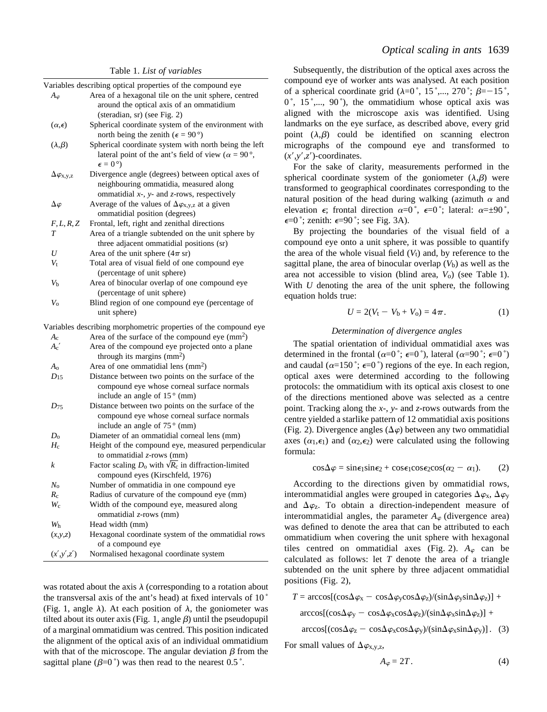Table 1. *List of variables*

|                          | Variables describing optical properties of the compound eye         |  |  |  |
|--------------------------|---------------------------------------------------------------------|--|--|--|
| $A_\varphi$              | Area of a hexagonal tile on the unit sphere, centred                |  |  |  |
|                          | around the optical axis of an ommatidium                            |  |  |  |
|                          | (steradian, sr) (see Fig. 2)                                        |  |  |  |
| $(\alpha,\epsilon)$      | Spherical coordinate system of the environment with                 |  |  |  |
|                          | north being the zenith ( $\epsilon = 90^{\circ}$ )                  |  |  |  |
| $(\lambda,\beta)$        | Spherical coordinate system with north being the left               |  |  |  |
|                          | lateral point of the ant's field of view ( $\alpha = 90^{\circ}$ ), |  |  |  |
|                          | $\epsilon = 0^{\circ}$                                              |  |  |  |
| $\Delta \varphi_{X,y,z}$ | Divergence angle (degrees) between optical axes of                  |  |  |  |
|                          | neighbouring ommatidia, measured along                              |  |  |  |
|                          | ommatidial $x$ -, $y$ - and $z$ -rows, respectively                 |  |  |  |
| $\Delta\varphi$          | Average of the values of $\Delta \varphi_{x,y,z}$ at a given        |  |  |  |
|                          | ommatidial position (degrees)                                       |  |  |  |
| F, L, R, Z               | Frontal, left, right and zenithal directions                        |  |  |  |
| T                        | Area of a triangle subtended on the unit sphere by                  |  |  |  |
|                          | three adjacent ommatidial positions (sr)                            |  |  |  |
| U                        | Area of the unit sphere $(4\pi \text{ sr})$                         |  |  |  |
| $V_{\rm t}$              | Total area of visual field of one compound eye                      |  |  |  |
|                          | (percentage of unit sphere)                                         |  |  |  |
| V <sub>b</sub>           | Area of binocular overlap of one compound eye                       |  |  |  |
|                          | (percentage of unit sphere)                                         |  |  |  |
| $V_{\rm o}$              | Blind region of one compound eye (percentage of                     |  |  |  |
|                          | unit sphere)                                                        |  |  |  |
|                          | Variables describing morphometric properties of the compound eye    |  |  |  |
| $A_{c}$                  | Area of the surface of the compound eye (mm <sup>2</sup> )          |  |  |  |
| $A_{c}$                  | Area of the compound eye projected onto a plane                     |  |  |  |
|                          | through its margins $(mm2)$                                         |  |  |  |
| $A_{0}$                  | Area of one ommatidial lens $(mm2)$                                 |  |  |  |
| $D_{15}$                 | Distance between two points on the surface of the                   |  |  |  |
|                          | compound eye whose corneal surface normals                          |  |  |  |
|                          | include an angle of 15° (mm)                                        |  |  |  |
| $D_{75}$                 | Distance between two points on the surface of the                   |  |  |  |
|                          | compound eye whose corneal surface normals                          |  |  |  |
|                          | include an angle of $75^{\circ}$ (mm)                               |  |  |  |
| $D_0$                    | Diameter of an ommatidial corneal lens (mm)                         |  |  |  |
| $H_{\rm c}$              | Height of the compound eye, measured perpendicular                  |  |  |  |
|                          | to ommatidial $z$ -rows (mm)                                        |  |  |  |
| k                        | Factor scaling $D_0$ with $\sqrt{R_c}$ in diffraction-limited       |  |  |  |
|                          | compound eyes (Kirschfeld, 1976)                                    |  |  |  |
| $N_{\rm o}$              | Number of ommatidia in one compound eye                             |  |  |  |
| $R_{\rm c}$              | Radius of curvature of the compound eye (mm)                        |  |  |  |
| $W_c$                    | Width of the compound eye, measured along                           |  |  |  |
|                          | ommatidial z-rows (mm)                                              |  |  |  |
| W <sub>h</sub>           | Head width (mm)                                                     |  |  |  |
| (x,y,z)                  | Hexagonal coordinate system of the ommatidial rows                  |  |  |  |
|                          | of a compound eye                                                   |  |  |  |
| (x', y', z')             | Normalised hexagonal coordinate system                              |  |  |  |
|                          |                                                                     |  |  |  |

was rotated about the axis  $\lambda$  (corresponding to a rotation about the transversal axis of the ant's head) at fixed intervals of 10 ˚ (Fig. 1, angle  $\lambda$ ). At each position of  $\lambda$ , the goniometer was tilted about its outer axis (Fig. 1, angle  $\beta$ ) until the pseudopupil of a marginal ommatidium was centred. This position indicated the alignment of the optical axis of an individual ommatidium with that of the microscope. The angular deviation  $\beta$  from the sagittal plane  $(\beta=0^{\degree})$  was then read to the nearest 0.5 $^{\degree}$ .

Subsequently, the distribution of the optical axes across the compound eye of worker ants was analysed. At each position of a spherical coordinate grid  $(\lambda=0^\circ, 15^\circ,..., 270^\circ; \beta=-15^\circ,$  $0^\circ$ , 15°,..., 90°), the ommatidium whose optical axis was aligned with the microscope axis was identified. Using landmarks on the eye surface, as described above, every grid point  $(\lambda,\beta)$  could be identified on scanning electron micrographs of the compound eye and transformed to  $(x', y', z')$ -coordinates.

For the sake of clarity, measurements performed in the spherical coordinate system of the goniometer  $(\lambda,\beta)$  were transformed to geographical coordinates corresponding to the natural position of the head during walking (azimuth  $\alpha$  and elevation  $\epsilon$ ; frontal direction  $\alpha=0^\circ$ ,  $\epsilon=0^\circ$ ; lateral:  $\alpha=\pm 90^\circ$ ,  $\epsilon = 0$ °; zenith:  $\epsilon = 90$ °; see Fig. 3A).

By projecting the boundaries of the visual field of a compound eye onto a unit sphere, it was possible to quantify the area of the whole visual field  $(V_t)$  and, by reference to the sagittal plane, the area of binocular overlap  $(V<sub>b</sub>)$  as well as the area not accessible to vision (blind area, *V*o) (see Table 1). With *U* denoting the area of the unit sphere, the following equation holds true:

$$
U = 2(V_{t} - V_{b} + V_{o}) = 4\pi.
$$
 (1)

## *Determination of divergence angles*

The spatial orientation of individual ommatidial axes was determined in the frontal ( $\alpha=0^\circ$ ;  $\epsilon=0^\circ$ ), lateral ( $\alpha=90^\circ$ ;  $\epsilon=0^\circ$ ) and caudal ( $\alpha$ =150°;  $\epsilon$ =0°) regions of the eye. In each region, optical axes were determined according to the following protocols: the ommatidium with its optical axis closest to one of the directions mentioned above was selected as a centre point. Tracking along the *x*-, *y*- and *z*-rows outwards from the centre yielded a starlike pattern of 12 ommatidial axis positions (Fig. 2). Divergence angles  $(\Delta \varphi)$  between any two ommatidial axes  $(\alpha_1,\epsilon_1)$  and  $(\alpha_2,\epsilon_2)$  were calculated using the following formula:

$$
\cos \Delta \varphi = \sin \epsilon_1 \sin \epsilon_2 + \cos \epsilon_1 \cos \epsilon_2 \cos(\alpha_2 - \alpha_1). \tag{2}
$$

According to the directions given by ommatidial rows, interommatidial angles were grouped in categories  $\Delta \varphi_{x}$ ,  $\Delta \varphi_{y}$ and  $\Delta \varphi_z$ . To obtain a direction-independent measure of interommatidial angles, the parameter  $A_{\varphi}$  (divergence area) was defined to denote the area that can be attributed to each ommatidium when covering the unit sphere with hexagonal tiles centred on ommatidial axes (Fig. 2).  $A_{\varphi}$  can be calculated as follows: let *T* denote the area of a triangle subtended on the unit sphere by three adjacent ommatidial positions (Fig. 2),

 $T = \arccos[(\cos\Delta\varphi_{\rm X} - \cos\Delta\varphi_{\rm Y}\cos\Delta\varphi_{\rm Z})/(\sin\Delta\varphi_{\rm Y}\sin\Delta\varphi_{\rm Z})] +$  $\arccos[(\cos\Delta\varphi_{y} - \cos\Delta\varphi_{x} \cos\Delta\varphi_{z})/(\sin\Delta\varphi_{x} \sin\Delta\varphi_{z})] +$ 

$$
\arccos[(\cos\Delta\varphi_z-\cos\Delta\varphi_x\cos\Delta\varphi_y)/(\sin\Delta\varphi_x\sin\Delta\varphi_y)].
$$
 (3)

For small values of  $\Delta \varphi_{X,Y,Z}$ ,

$$
A_{\varphi} = 2T. \tag{4}
$$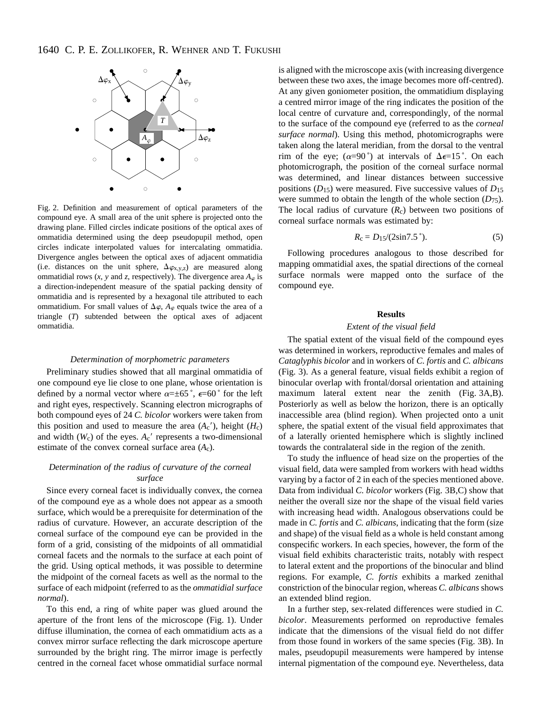

Fig. 2. Definition and measurement of optical parameters of the compound eye. A small area of the unit sphere is projected onto the drawing plane. Filled circles indicate positions of the optical axes of ommatidia determined using the deep pseudopupil method, open circles indicate interpolated values for intercalating ommatidia. Divergence angles between the optical axes of adjacent ommatidia (i.e. distances on the unit sphere,  $\Delta \varphi_{x,y,z}$ ) are measured along ommatidial rows  $(x, y, z)$  and  $z$ , respectively). The divergence area  $A_{\varphi}$  is a direction-independent measure of the spatial packing density of ommatidia and is represented by a hexagonal tile attributed to each ommatidium. For small values of  $\Delta \varphi$ ,  $A_{\varphi}$  equals twice the area of a triangle (*T*) subtended between the optical axes of adjacent ommatidia.

#### *Determination of morphometric parameters*

Preliminary studies showed that all marginal ommatidia of one compound eye lie close to one plane, whose orientation is defined by a normal vector where  $\alpha = \pm 65^{\degree}$ ,  $\epsilon = 60^{\degree}$  for the left and right eyes, respectively. Scanning electron micrographs of both compound eyes of 24 *C. bicolor* workers were taken from this position and used to measure the area  $(A_c)$ , height  $(H_c)$ and width  $(W_c)$  of the eyes.  $A_c'$  represents a two-dimensional estimate of the convex corneal surface area (*A*c).

# *Determination of the radius of curvature of the corneal surface*

Since every corneal facet is individually convex, the cornea of the compound eye as a whole does not appear as a smooth surface, which would be a prerequisite for determination of the radius of curvature. However, an accurate description of the corneal surface of the compound eye can be provided in the form of a grid, consisting of the midpoints of all ommatidial corneal facets and the normals to the surface at each point of the grid. Using optical methods, it was possible to determine the midpoint of the corneal facets as well as the normal to the surface of each midpoint (referred to as the *ommatidial surface normal*).

To this end, a ring of white paper was glued around the aperture of the front lens of the microscope (Fig. 1). Under diffuse illumination, the cornea of each ommatidium acts as a convex mirror surface reflecting the dark microscope aperture surrounded by the bright ring. The mirror image is perfectly centred in the corneal facet whose ommatidial surface normal

is aligned with the microscope axis (with increasing divergence between these two axes, the image becomes more off-centred). At any given goniometer position, the ommatidium displaying a centred mirror image of the ring indicates the position of the local centre of curvature and, correspondingly, of the normal to the surface of the compound eye (referred to as the *corneal surface normal*). Using this method, photomicrographs were taken along the lateral meridian, from the dorsal to the ventral rim of the eye; ( $\alpha=90^\circ$ ) at intervals of  $\Delta \epsilon=15^\circ$ . On each photomicrograph, the position of the corneal surface normal was determined, and linear distances between successive positions (*D*15) were measured. Five successive values of *D*15 were summed to obtain the length of the whole section (*D*75). The local radius of curvature  $(R<sub>c</sub>)$  between two positions of corneal surface normals was estimated by:

$$
R_{\rm c} = D_{15}/(2\sin 7.5^{\circ}).\tag{5}
$$

Following procedures analogous to those described for mapping ommatidial axes, the spatial directions of the corneal surface normals were mapped onto the surface of the compound eye.

## **Results**

# *Extent of the visual field*

The spatial extent of the visual field of the compound eyes was determined in workers, reproductive females and males of *Cataglyphis bicolor* and in workers of *C. fortis* and *C. albicans* (Fig. 3). As a general feature, visual fields exhibit a region of binocular overlap with frontal/dorsal orientation and attaining maximum lateral extent near the zenith (Fig. 3A,B). Posteriorly as well as below the horizon, there is an optically inaccessible area (blind region). When projected onto a unit sphere, the spatial extent of the visual field approximates that of a laterally oriented hemisphere which is slightly inclined towards the contralateral side in the region of the zenith.

To study the influence of head size on the properties of the visual field, data were sampled from workers with head widths varying by a factor of 2 in each of the species mentioned above. Data from individual *C. bicolor* workers (Fig. 3B,C) show that neither the overall size nor the shape of the visual field varies with increasing head width. Analogous observations could be made in *C. fortis* and *C. albicans*, indicating that the form (size and shape) of the visual field as a whole is held constant among conspecific workers. In each species, however, the form of the visual field exhibits characteristic traits, notably with respect to lateral extent and the proportions of the binocular and blind regions. For example, *C. fortis* exhibits a marked zenithal constriction of the binocular region, whereas *C. albicans* shows an extended blind region.

In a further step, sex-related differences were studied in *C. bicolor*. Measurements performed on reproductive females indicate that the dimensions of the visual field do not differ from those found in workers of the same species (Fig. 3B). In males, pseudopupil measurements were hampered by intense internal pigmentation of the compound eye. Nevertheless, data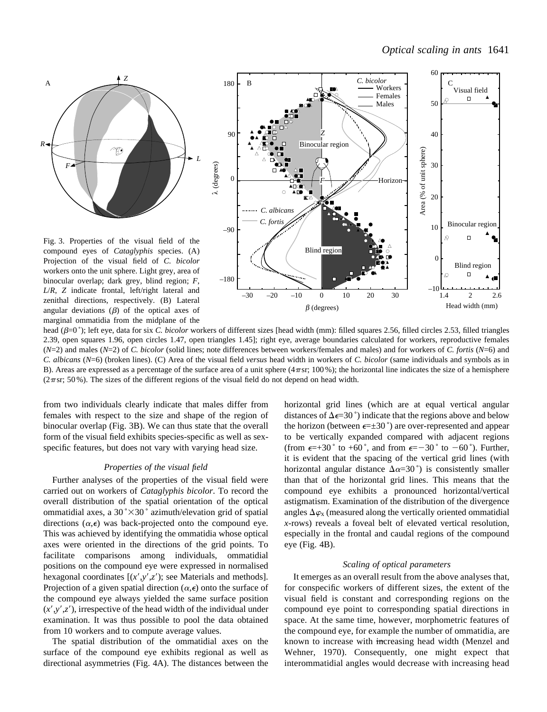

Fig. 3. Properties of the visual field of the compound eyes of *Cataglyphis* species. (A) Projection of the visual field of *C. bicolor* workers onto the unit sphere. Light grey, area of binocular overlap; dark grey, blind region; *F*, *L*/*R*, *Z* indicate frontal, left/right lateral and zenithal directions, respectively. (B) Lateral angular deviations  $(\beta)$  of the optical axes of marginal ommatidia from the midplane of the



head ( $\beta$ =0<sup>°</sup>); left eye, data for six *C. bicolor* workers of different sizes [head width (mm); filled squares 2.56, filled circles 2.53, filled triangles 2.39, open squares 1.96, open circles 1.47, open triangles 1.45]; right eye, average boundaries calculated for workers, reproductive females (*N*=2) and males (*N*=2) of *C. bicolor* (solid lines; note differences between workers/females and males) and for workers of *C. fortis* (*N*=6) and *C. albicans* (*N*=6) (broken lines). (C) Area of the visual field *versus* head width in workers of *C. bicolor* (same individuals and symbols as in B). Areas are expressed as a percentage of the surface area of a unit sphere  $(4\pi s r; 100\%)$ ; the horizontal line indicates the size of a hemisphere  $(2\pi s$ r; 50%). The sizes of the different regions of the visual field do not depend on head width.

from two individuals clearly indicate that males differ from females with respect to the size and shape of the region of binocular overlap (Fig. 3B). We can thus state that the overall form of the visual field exhibits species-specific as well as sexspecific features, but does not vary with varying head size.

### *Properties of the visual field*

Further analyses of the properties of the visual field were carried out on workers of *Cataglyphis bicolor*. To record the overall distribution of the spatial orientation of the optical ommatidial axes, a  $30^{\circ} \times 30^{\circ}$  azimuth/elevation grid of spatial directions  $(\alpha, \epsilon)$  was back-projected onto the compound eye. This was achieved by identifying the ommatidia whose optical axes were oriented in the directions of the grid points. To facilitate comparisons among individuals, ommatidial positions on the compound eye were expressed in normalised hexagonal coordinates  $[(x', y', z')$ ; see Materials and methods]. Projection of a given spatial direction  $(\alpha, \epsilon)$  onto the surface of the compound eye always yielded the same surface position  $(x', y', z')$ , irrespective of the head width of the individual under examination. It was thus possible to pool the data obtained from 10 workers and to compute average values.

The spatial distribution of the ommatidial axes on the surface of the compound eye exhibits regional as well as directional asymmetries (Fig. 4A). The distances between the

horizontal grid lines (which are at equal vertical angular distances of  $\Delta \epsilon = 30^{\degree}$ ) indicate that the regions above and below the horizon (between  $\epsilon = \pm 30^{\circ}$ ) are over-represented and appear to be vertically expanded compared with adjacent regions (from  $\epsilon = +30^{\circ}$  to  $+60^{\circ}$ , and from  $\epsilon = -30^{\circ}$  to  $-60^{\circ}$ ). Further, it is evident that the spacing of the vertical grid lines (with horizontal angular distance  $\Delta \alpha = 30^\circ$  is consistently smaller than that of the horizontal grid lines. This means that the compound eye exhibits a pronounced horizontal/vertical astigmatism. Examination of the distribution of the divergence angles  $\Delta \varphi_{x}$  (measured along the vertically oriented ommatidial *x*-rows) reveals a foveal belt of elevated vertical resolution, especially in the frontal and caudal regions of the compound eye (Fig. 4B).

### *Scaling of optical parameters*

It emerges as an overall result from the above analyses that, for conspecific workers of different sizes, the extent of the visual field is constant and corresponding regions on the compound eye point to corresponding spatial directions in space. At the same time, however, morphometric features of the compound eye, for example the number of ommatidia, are known to increase with increasing head width (Menzel and Wehner, 1970). Consequently, one might expect that interommatidial angles would decrease with increasing head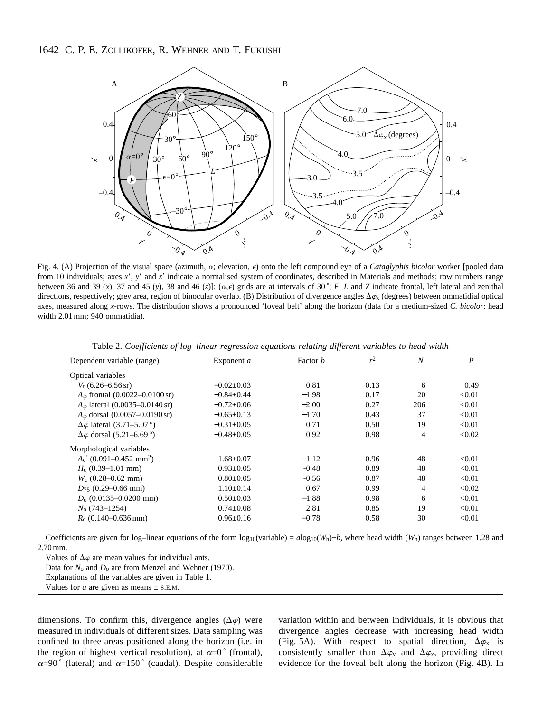# 1642 C. P. E. ZOLLIKOFER, R. WEHNER AND T. FUKUSHI



Fig. 4. (A) Projection of the visual space (azimuth,  $\alpha$ ; elevation,  $\epsilon$ ) onto the left compound eye of a *Cataglyphis bicolor* worker [pooled data from 10 individuals; axes x', y' and z' indicate a normalised system of coordinates, described in Materials and methods; row numbers range between 36 and 39 (*x*), 37 and 45 (*y*), 38 and 46 (*z*)]; ( $\alpha, \epsilon$ ) grids are at intervals of 30°; *F*, *L* and *Z* indicate frontal, left lateral and zenithal directions, respectively; grey area, region of binocular overlap. (B) Distribution of divergence angles  $\Delta \varphi_{\rm x}$  (degrees) between ommatidial optical axes, measured along *x*-rows. The distribution shows a pronounced 'foveal belt' along the horizon (data for a medium-sized *C. bicolor*; head width 2.01 mm; 940 ommatidia).

| Exponent <i>a</i> | Factor <i>b</i> | r <sup>2</sup> | $\overline{N}$ | $\boldsymbol{P}$ |
|-------------------|-----------------|----------------|----------------|------------------|
|                   |                 |                |                |                  |
| $-0.02\pm0.03$    | 0.81            | 0.13           | 6              | 0.49             |
| $-0.84 \pm 0.44$  | $-1.98$         | 0.17           | 20             | < 0.01           |
| $-0.72 \pm 0.06$  | $-2.00$         | 0.27           | 206            | < 0.01           |
| $-0.65\pm0.13$    | $-1.70$         | 0.43           | 37             | < 0.01           |
| $-0.31 \pm 0.05$  | 0.71            | 0.50           | 19             | < 0.01           |
| $-0.48 \pm 0.05$  | 0.92            | 0.98           | 4              | < 0.02           |
|                   |                 |                |                |                  |
| $1.68 \pm 0.07$   | $-1.12$         | 0.96           | 48             | < 0.01           |
| $0.93 + 0.05$     | $-0.48$         | 0.89           | 48             | < 0.01           |
| $0.80 \pm 0.05$   | $-0.56$         | 0.87           | 48             | < 0.01           |
| $1.10\pm0.14$     | 0.67            | 0.99           | $\overline{4}$ | < 0.02           |
| $0.50 \pm 0.03$   | $-1.88$         | 0.98           | 6              | < 0.01           |
| $0.74 \pm 0.08$   | 2.81            | 0.85           | 19             | < 0.01           |
| $0.96 + 0.16$     | $-0.78$         | 0.58           | 30             | < 0.01           |
|                   |                 |                |                |                  |

Table 2. *Coefficients of log–linear regression equations relating different variables to head width*

Coefficients are given for log–linear equations of the form  $\log_{10}(\text{variable}) = a\log_{10}(W_h)+b$ , where head width  $(W_h)$  ranges between 1.28 and 2.70 mm.

Values of  $\Delta \varphi$  are mean values for individual ants.

Data for  $N_0$  and  $D_0$  are from Menzel and Wehner (1970).

Explanations of the variables are given in Table 1.

Values for *a* are given as means  $\pm$  s.e.m.

dimensions. To confirm this, divergence angles  $(\Delta \varphi)$  were measured in individuals of different sizes. Data sampling was confined to three areas positioned along the horizon (i.e. in the region of highest vertical resolution), at  $\alpha=0$ <sup>°</sup> (frontal),  $\alpha=90^\circ$  (lateral) and  $\alpha=150^\circ$  (caudal). Despite considerable variation within and between individuals, it is obvious that divergence angles decrease with increasing head width (Fig. 5A). With respect to spatial direction,  $\Delta \varphi_x$  is consistently smaller than  $\Delta \varphi_{V}$  and  $\Delta \varphi_{Z}$ , providing direct evidence for the foveal belt along the horizon (Fig. 4B). In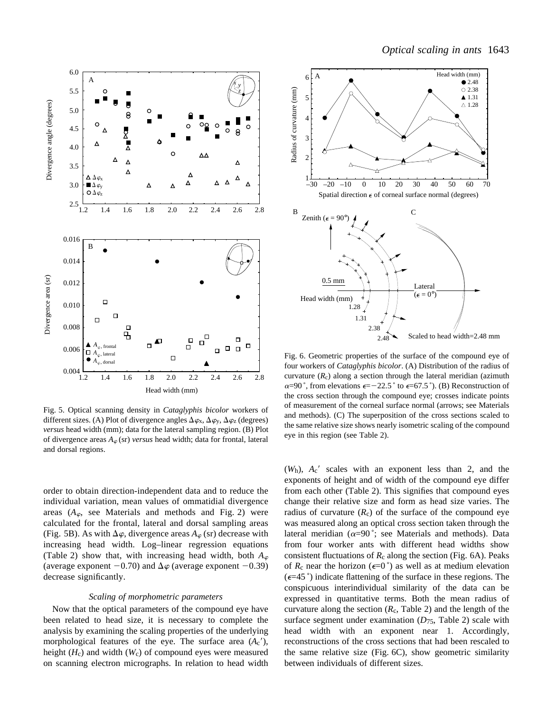

Fig. 5. Optical scanning density in *Cataglyphis bicolor* workers of different sizes. (A) Plot of divergence angles  $\Delta \varphi_{x}$ ,  $\Delta \varphi_{y}$ ,  $\Delta \varphi_{z}$  (degrees) *versus* head width (mm); data for the lateral sampling region. (B) Plot of divergence areas  $A_{\varphi}$  (sr) *versus* head width; data for frontal, lateral and dorsal regions.

order to obtain direction-independent data and to reduce the individual variation, mean values of ommatidial divergence areas  $(A_{\varphi})$ , see Materials and methods and Fig. 2) were calculated for the frontal, lateral and dorsal sampling areas (Fig. 5B). As with  $\Delta \varphi$ , divergence areas  $A_{\varphi}$  (sr) decrease with increasing head width. Log–linear regression equations (Table 2) show that, with increasing head width, both  $A_{\varphi}$ (average exponent  $-0.70$ ) and  $\Delta\varphi$  (average exponent  $-0.39$ ) decrease significantly.

### *Scaling of morphometric parameters*

Now that the optical parameters of the compound eye have been related to head size, it is necessary to complete the analysis by examining the scaling properties of the underlying morphological features of the eye. The surface area  $(A<sub>c</sub>'),$ height (*H*c) and width (*W*c) of compound eyes were measured on scanning electron micrographs. In relation to head width



Fig. 6. Geometric properties of the surface of the compound eye of four workers of *Cataglyphis bicolor*. (A) Distribution of the radius of curvature  $(R_c)$  along a section through the lateral meridian (azimuth  $\alpha=90^\circ$ , from elevations  $\epsilon=-22.5^\circ$  to  $\epsilon=67.5^\circ$ ). (B) Reconstruction of the cross section through the compound eye; crosses indicate points of measurement of the corneal surface normal (arrows; see Materials and methods). (C) The superposition of the cross sections scaled to the same relative size shows nearly isometric scaling of the compound eye in this region (see Table 2).

 $(W<sub>h</sub>)$ ,  $A<sub>c</sub>$ ' scales with an exponent less than 2, and the exponents of height and of width of the compound eye differ from each other (Table 2). This signifies that compound eyes change their relative size and form as head size varies. The radius of curvature  $(R_c)$  of the surface of the compound eye was measured along an optical cross section taken through the lateral meridian ( $\alpha=90^\circ$ ; see Materials and methods). Data from four worker ants with different head widths show consistent fluctuations of  $R_c$  along the section (Fig. 6A). Peaks of  $R_c$  near the horizon ( $\epsilon=0^\circ$ ) as well as at medium elevation  $(\epsilon=45^\circ)$  indicate flattening of the surface in these regions. The conspicuous interindividual similarity of the data can be expressed in quantitative terms. Both the mean radius of curvature along the section  $(R<sub>c</sub>, Table 2)$  and the length of the surface segment under examination (*D*75, Table 2) scale with head width with an exponent near 1. Accordingly, reconstructions of the cross sections that had been rescaled to the same relative size (Fig. 6C), show geometric similarity between individuals of different sizes.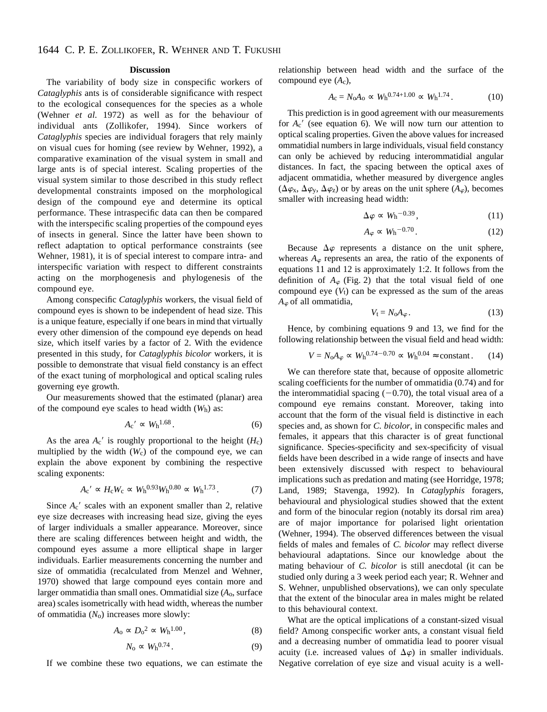### **Discussion**

The variability of body size in conspecific workers of *Cataglyphis* ants is of considerable significance with respect to the ecological consequences for the species as a whole (Wehner *et al.* 1972) as well as for the behaviour of individual ants (Zollikofer, 1994). Since workers of *Cataglyphis* species are individual foragers that rely mainly on visual cues for homing (see review by Wehner, 1992), a comparative examination of the visual system in small and large ants is of special interest. Scaling properties of the visual system similar to those described in this study reflect developmental constraints imposed on the morphological design of the compound eye and determine its optical performance. These intraspecific data can then be compared with the interspecific scaling properties of the compound eyes of insects in general. Since the latter have been shown to reflect adaptation to optical performance constraints (see Wehner, 1981), it is of special interest to compare intra- and interspecific variation with respect to different constraints acting on the morphogenesis and phylogenesis of the compound eye.

Among conspecific *Cataglyphis* workers, the visual field of compound eyes is shown to be independent of head size. This is a unique feature, especially if one bears in mind that virtually every other dimension of the compound eye depends on head size, which itself varies by a factor of 2. With the evidence presented in this study, for *Cataglyphis bicolor* workers, it is possible to demonstrate that visual field constancy is an effect of the exact tuning of morphological and optical scaling rules governing eye growth.

Our measurements showed that the estimated (planar) area of the compound eye scales to head width  $(W_h)$  as:

$$
A_{\rm c}^{\prime} \propto W_{\rm h}^{1.68}.\tag{6}
$$

As the area  $A_c'$  is roughly proportional to the height ( $H_c$ ) multiplied by the width  $(W_c)$  of the compound eye, we can explain the above exponent by combining the respective scaling exponents:

$$
A_{\rm c}{}^{\prime} \propto H_{\rm c} W_{\rm c} \propto W_{\rm h}^{0.93} W_{\rm h}^{0.80} \propto W_{\rm h}^{1.73}.
$$
 (7)

Since  $A_c'$  scales with an exponent smaller than 2, relative eye size decreases with increasing head size, giving the eyes of larger individuals a smaller appearance. Moreover, since there are scaling differences between height and width, the compound eyes assume a more elliptical shape in larger individuals. Earlier measurements concerning the number and size of ommatidia (recalculated from Menzel and Wehner, 1970) showed that large compound eyes contain more and larger ommatidia than small ones. Ommatidial size (*A*o, surface area) scales isometrically with head width, whereas the number of ommatidia (*N*o) increases more slowly:

$$
A_0 \propto D_0^2 \propto W_h^{1.00},\tag{8}
$$

$$
N_0 \propto W_h^{0.74}.
$$

If we combine these two equations, we can estimate the

relationship between head width and the surface of the compound eye (*A*c),

$$
A_{\rm c} = N_{\rm o} A_{\rm o} \propto W_{\rm h}^{0.74 + 1.00} \propto W_{\rm h}^{1.74}.
$$
 (10)

This prediction is in good agreement with our measurements for  $A_c'$  (see equation 6). We will now turn our attention to optical scaling properties. Given the above values for increased ommatidial numbers in large individuals, visual field constancy can only be achieved by reducing interommatidial angular distances. In fact, the spacing between the optical axes of adjacent ommatidia, whether measured by divergence angles  $(\Delta \varphi_{x}, \Delta \varphi_{y}, \Delta \varphi_{z})$  or by areas on the unit sphere  $(A_{\varphi})$ , becomes smaller with increasing head width:

$$
\Delta \varphi \propto W_{\rm h}^{-0.39},\tag{11}
$$

$$
A_{\varphi} \propto W_{\rm h}^{-0.70} \,. \tag{12}
$$

Because  $\Delta\varphi$  represents a distance on the unit sphere, whereas  $A_{\varphi}$  represents an area, the ratio of the exponents of equations 11 and 12 is approximately 1:2. It follows from the definition of  $A_{\varphi}$  (Fig. 2) that the total visual field of one compound eye  $(V_t)$  can be expressed as the sum of the areas  $A_{\varphi}$  of all ommatidia,

$$
V_{t} = N_{0}A_{\varphi}.
$$
 (13)

Hence, by combining equations 9 and 13, we find for the following relationship between the visual field and head width:

$$
V = N_0 A_\varphi \propto W_h^{0.74 - 0.70} \propto W_h^{0.04} \approx \text{constant}.
$$
 (14)

We can therefore state that, because of opposite allometric scaling coefficients for the number of ommatidia (0.74) and for the interommatidial spacing  $(-0.70)$ , the total visual area of a compound eye remains constant. Moreover, taking into account that the form of the visual field is distinctive in each species and, as shown for *C. bicolor*, in conspecific males and females, it appears that this character is of great functional significance. Species-specificity and sex-specificity of visual fields have been described in a wide range of insects and have been extensively discussed with respect to behavioural implications such as predation and mating (see Horridge, 1978; Land, 1989; Stavenga, 1992). In *Cataglyphis* foragers, behavioural and physiological studies showed that the extent and form of the binocular region (notably its dorsal rim area) are of major importance for polarised light orientation (Wehner, 1994). The observed differences between the visual fields of males and females of *C. bicolor* may reflect diverse behavioural adaptations. Since our knowledge about the mating behaviour of *C. bicolor* is still anecdotal (it can be studied only during a 3 week period each year; R. Wehner and S. Wehner, unpublished observations), we can only speculate that the extent of the binocular area in males might be related to this behavioural context.

What are the optical implications of a constant-sized visual field? Among conspecific worker ants, a constant visual field and a decreasing number of ommatidia lead to poorer visual acuity (i.e. increased values of  $\Delta \varphi$ ) in smaller individuals. Negative correlation of eye size and visual acuity is a well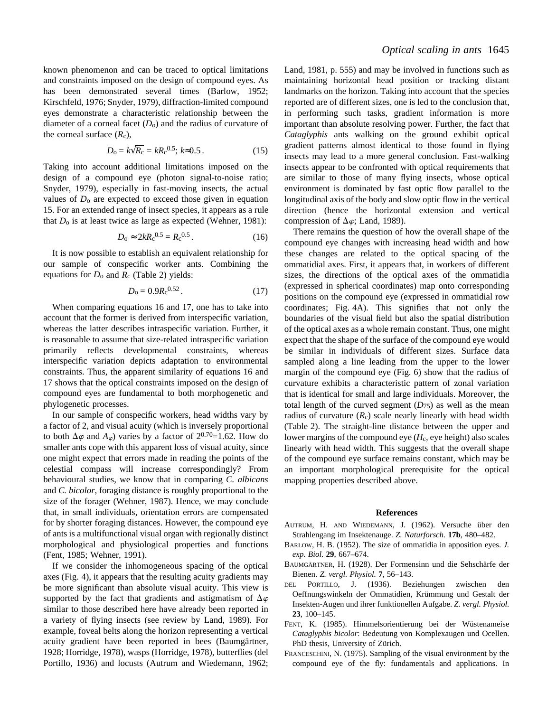known phenomenon and can be traced to optical limitations and constraints imposed on the design of compound eyes. As has been demonstrated several times (Barlow, 1952; Kirschfeld, 1976; Snyder, 1979), diffraction-limited compound eyes demonstrate a characteristic relationship between the diameter of a corneal facet  $(D_0)$  and the radius of curvature of the corneal surface  $(R_c)$ ,

$$
D_0 = k\sqrt{R_c} = kR_c^{0.5}; k \approx 0.5.
$$
 (15)

Taking into account additional limitations imposed on the design of a compound eye (photon signal-to-noise ratio; Snyder, 1979), especially in fast-moving insects, the actual values of  $D_0$  are expected to exceed those given in equation 15. For an extended range of insect species, it appears as a rule that *D*o is at least twice as large as expected (Wehner, 1981):

$$
D_0 \approx 2kR_c^{0.5} = R_c^{0.5} \,. \tag{16}
$$

It is now possible to establish an equivalent relationship for our sample of conspecific worker ants. Combining the equations for *D*o and *R*c (Table 2) yields:

$$
D_0 = 0.9 R_c^{0.52}.
$$
 (17)

When comparing equations 16 and 17, one has to take into account that the former is derived from interspecific variation, whereas the latter describes intraspecific variation. Further, it is reasonable to assume that size-related intraspecific variation primarily reflects developmental constraints, whereas interspecific variation depicts adaptation to environmental constraints. Thus, the apparent similarity of equations 16 and 17 shows that the optical constraints imposed on the design of compound eyes are fundamental to both morphogenetic and phylogenetic processes.

In our sample of conspecific workers, head widths vary by a factor of 2, and visual acuity (which is inversely proportional to both  $\Delta \varphi$  and  $A_{\varphi}$ ) varies by a factor of  $2^{0.70}$ =1.62. How do smaller ants cope with this apparent loss of visual acuity, since one might expect that errors made in reading the points of the celestial compass will increase correspondingly? From behavioural studies, we know that in comparing *C. albicans* and *C. bicolor*, foraging distance is roughly proportional to the size of the forager (Wehner, 1987). Hence, we may conclude that, in small individuals, orientation errors are compensated for by shorter foraging distances. However, the compound eye of ants is a multifunctional visual organ with regionally distinct morphological and physiological properties and functions (Fent, 1985; Wehner, 1991).

If we consider the inhomogeneous spacing of the optical axes (Fig. 4), it appears that the resulting acuity gradients may be more significant than absolute visual acuity. This view is supported by the fact that gradients and astigmatism of  $\Delta \varphi$ similar to those described here have already been reported in a variety of flying insects (see review by Land, 1989). For example, foveal belts along the horizon representing a vertical acuity gradient have been reported in bees (Baumgärtner, 1928; Horridge, 1978), wasps (Horridge, 1978), butterflies (del Portillo, 1936) and locusts (Autrum and Wiedemann, 1962; Land, 1981, p. 555) and may be involved in functions such as maintaining horizontal head position or tracking distant landmarks on the horizon. Taking into account that the species reported are of different sizes, one is led to the conclusion that, in performing such tasks, gradient information is more important than absolute resolving power. Further, the fact that *Cataglyphis* ants walking on the ground exhibit optical gradient patterns almost identical to those found in flying insects may lead to a more general conclusion. Fast-walking insects appear to be confronted with optical requirements that are similar to those of many flying insects, whose optical environment is dominated by fast optic flow parallel to the longitudinal axis of the body and slow optic flow in the vertical direction (hence the horizontal extension and vertical compression of  $\Delta \varphi$ ; Land, 1989).

There remains the question of how the overall shape of the compound eye changes with increasing head width and how these changes are related to the optical spacing of the ommatidial axes. First, it appears that, in workers of different sizes, the directions of the optical axes of the ommatidia (expressed in spherical coordinates) map onto corresponding positions on the compound eye (expressed in ommatidial row coordinates; Fig. 4A). This signifies that not only the boundaries of the visual field but also the spatial distribution of the optical axes as a whole remain constant. Thus, one might expect that the shape of the surface of the compound eye would be similar in individuals of different sizes. Surface data sampled along a line leading from the upper to the lower margin of the compound eye (Fig. 6) show that the radius of curvature exhibits a characteristic pattern of zonal variation that is identical for small and large individuals. Moreover, the total length of the curved segment  $(D_{75})$  as well as the mean radius of curvature  $(R<sub>c</sub>)$  scale nearly linearly with head width (Table 2). The straight-line distance between the upper and lower margins of the compound eye (*H*c, eye height) also scales linearly with head width. This suggests that the overall shape of the compound eye surface remains constant, which may be an important morphological prerequisite for the optical mapping properties described above.

### **References**

- AUTRUM, H. AND WIEDEMANN, J. (1962). Versuche über den Strahlengang im Insektenauge. *Z. Naturforsch.* **17b**, 480–482.
- BARLOW, H. B. (1952). The size of ommatidia in apposition eyes. *J. exp. Biol.* **29**, 667–674.
- BAUMGÄRTNER, H. (1928). Der Formensinn und die Sehschärfe der Bienen. *Z. vergl. Physiol.* **7**, 56–143.
- DEL PORTILLO, J. (1936). Beziehungen zwischen den Oeffnungswinkeln der Ommatidien, Krümmung und Gestalt der Insekten-Augen und ihrer funktionellen Aufgabe. *Z. vergl. Physiol.* **23**, 100–145.
- FENT, K. (1985). Himmelsorientierung bei der Wüstenameise *Cataglyphis bicolor*: Bedeutung von Komplexaugen und Ocellen. PhD thesis, University of Zürich.
- FRANCESCHINI, N. (1975). Sampling of the visual environment by the compound eye of the fly: fundamentals and applications. In